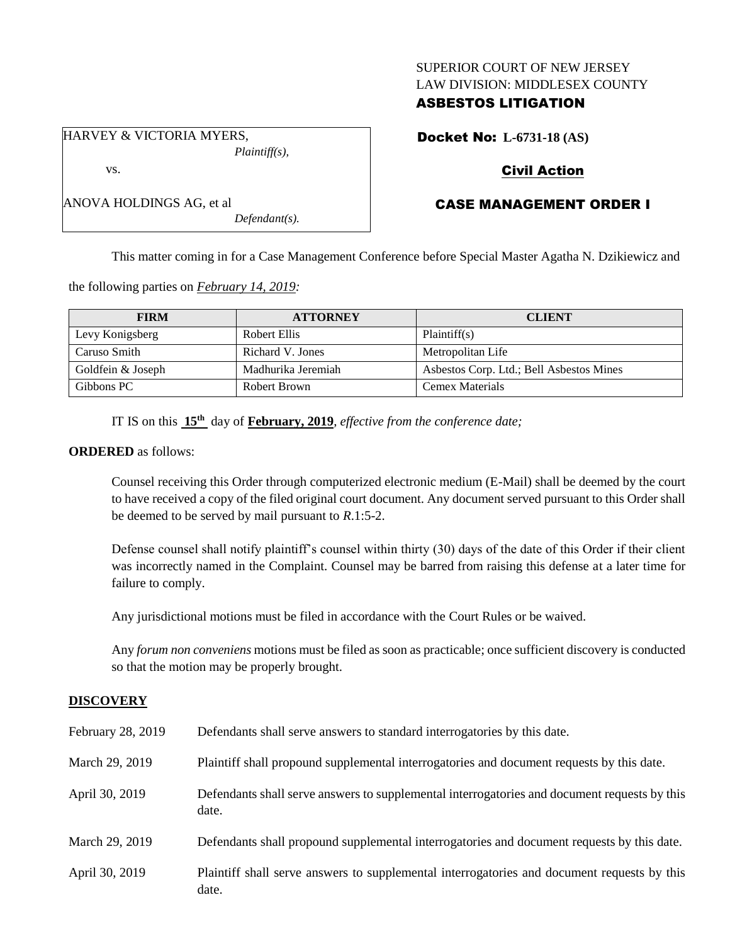## SUPERIOR COURT OF NEW JERSEY LAW DIVISION: MIDDLESEX COUNTY

# ASBESTOS LITIGATION

HARVEY & VICTORIA MYERS, *Plaintiff(s),*

vs.

| ANOVA HOLDINGS AG, et al |          |
|--------------------------|----------|
|                          | $\Gamma$ |

*Defendant(s).*

Docket No: **L-6731-18 (AS)**

# Civil Action

# CASE MANAGEMENT ORDER I

This matter coming in for a Case Management Conference before Special Master Agatha N. Dzikiewicz and

the following parties on *February 14, 2019:*

| <b>FIRM</b>       | <b>ATTORNEY</b>    | <b>CLIENT</b>                            |
|-------------------|--------------------|------------------------------------------|
| Levy Konigsberg   | Robert Ellis       | Plaintiff(s)                             |
| Caruso Smith      | Richard V. Jones   | Metropolitan Life                        |
| Goldfein & Joseph | Madhurika Jeremiah | Asbestos Corp. Ltd.; Bell Asbestos Mines |
| Gibbons PC        | Robert Brown       | Cemex Materials                          |

IT IS on this **15th** day of **February, 2019**, *effective from the conference date;*

### **ORDERED** as follows:

Counsel receiving this Order through computerized electronic medium (E-Mail) shall be deemed by the court to have received a copy of the filed original court document. Any document served pursuant to this Order shall be deemed to be served by mail pursuant to *R*.1:5-2.

Defense counsel shall notify plaintiff's counsel within thirty (30) days of the date of this Order if their client was incorrectly named in the Complaint. Counsel may be barred from raising this defense at a later time for failure to comply.

Any jurisdictional motions must be filed in accordance with the Court Rules or be waived.

Any *forum non conveniens* motions must be filed as soon as practicable; once sufficient discovery is conducted so that the motion may be properly brought.

## **DISCOVERY**

| February 28, 2019 | Defendants shall serve answers to standard interrogatories by this date.                              |
|-------------------|-------------------------------------------------------------------------------------------------------|
| March 29, 2019    | Plaintiff shall propound supplemental interrogatories and document requests by this date.             |
| April 30, 2019    | Defendants shall serve answers to supplemental interrogatories and document requests by this<br>date. |
| March 29, 2019    | Defendants shall propound supplemental interrogatories and document requests by this date.            |
| April 30, 2019    | Plaintiff shall serve answers to supplemental interrogatories and document requests by this<br>date.  |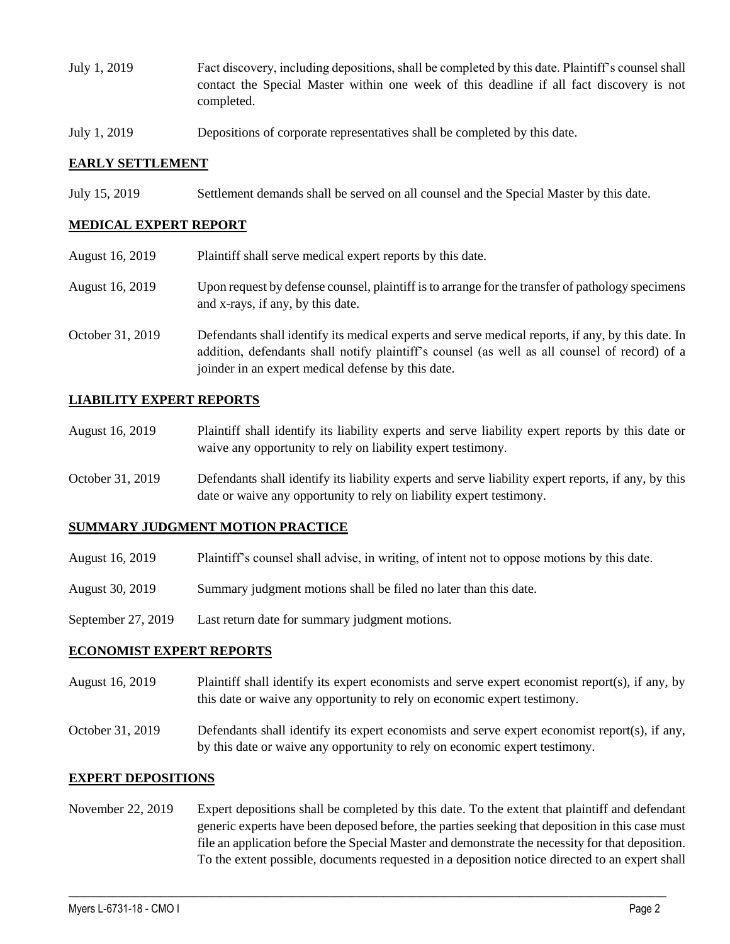- July 1, 2019 Fact discovery, including depositions, shall be completed by this date. Plaintiff's counsel shall contact the Special Master within one week of this deadline if all fact discovery is not completed.
- July 1, 2019 Depositions of corporate representatives shall be completed by this date.

### **EARLY SETTLEMENT**

July 15, 2019 Settlement demands shall be served on all counsel and the Special Master by this date.

### **MEDICAL EXPERT REPORT**

August 16, 2019 Plaintiff shall serve medical expert reports by this date. August 16, 2019 Upon request by defense counsel, plaintiff is to arrange for the transfer of pathology specimens and x-rays, if any, by this date. October 31, 2019 Defendants shall identify its medical experts and serve medical reports, if any, by this date. In addition, defendants shall notify plaintiff's counsel (as well as all counsel of record) of a joinder in an expert medical defense by this date.

### **LIABILITY EXPERT REPORTS**

- August 16, 2019 Plaintiff shall identify its liability experts and serve liability expert reports by this date or waive any opportunity to rely on liability expert testimony.
- October 31, 2019 Defendants shall identify its liability experts and serve liability expert reports, if any, by this date or waive any opportunity to rely on liability expert testimony.

#### **SUMMARY JUDGMENT MOTION PRACTICE**

- August 16, 2019 Plaintiff's counsel shall advise, in writing, of intent not to oppose motions by this date.
- August 30, 2019 Summary judgment motions shall be filed no later than this date.
- September 27, 2019 Last return date for summary judgment motions.

#### **ECONOMIST EXPERT REPORTS**

- August 16, 2019 Plaintiff shall identify its expert economists and serve expert economist report(s), if any, by this date or waive any opportunity to rely on economic expert testimony.
- October 31, 2019 Defendants shall identify its expert economists and serve expert economist report(s), if any, by this date or waive any opportunity to rely on economic expert testimony.

#### **EXPERT DEPOSITIONS**

November 22, 2019 Expert depositions shall be completed by this date. To the extent that plaintiff and defendant generic experts have been deposed before, the parties seeking that deposition in this case must file an application before the Special Master and demonstrate the necessity for that deposition. To the extent possible, documents requested in a deposition notice directed to an expert shall

 $\_$  ,  $\_$  ,  $\_$  ,  $\_$  ,  $\_$  ,  $\_$  ,  $\_$  ,  $\_$  ,  $\_$  ,  $\_$  ,  $\_$  ,  $\_$  ,  $\_$  ,  $\_$  ,  $\_$  ,  $\_$  ,  $\_$  ,  $\_$  ,  $\_$  ,  $\_$  ,  $\_$  ,  $\_$  ,  $\_$  ,  $\_$  ,  $\_$  ,  $\_$  ,  $\_$  ,  $\_$  ,  $\_$  ,  $\_$  ,  $\_$  ,  $\_$  ,  $\_$  ,  $\_$  ,  $\_$  ,  $\_$  ,  $\_$  ,